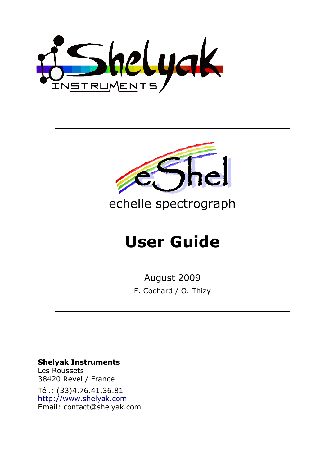Shelyak



#### **Shelyak Instruments**

Les Roussets 38420 Revel / France Tél.: (33)4.76.41.36.81 [http://www.shelyak.com](http://www.shelyak.com/) Email: [contact@shelyak.com](mailto:contact@shelyak.com)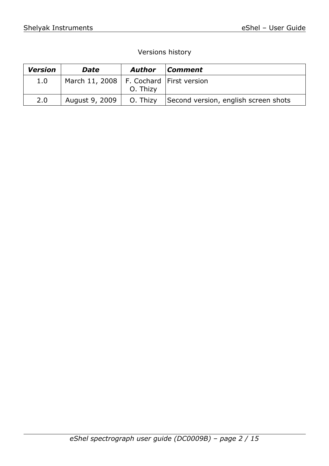### Versions history

| <b>Version</b> | <b>Date</b>                                 | <b>Author</b> | Comment                              |
|----------------|---------------------------------------------|---------------|--------------------------------------|
| 1.0            | March 11, 2008   F. Cochard   First version | O. Thizy      |                                      |
| 2.0            | August 9, 2009                              | O. Thizy      | Second version, english screen shots |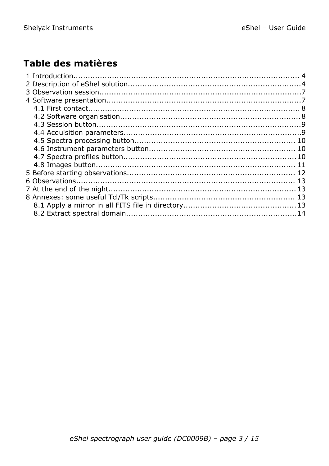# Table des matières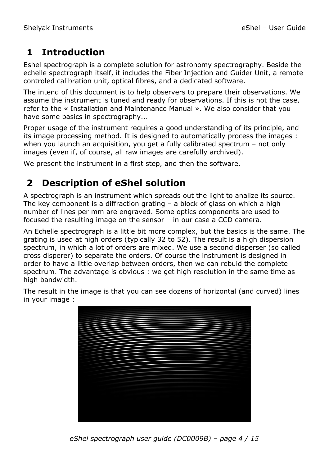# **1 Introduction**

Eshel spectrograph is a complete solution for astronomy spectrography. Beside the echelle spectrograph itself, it includes the Fiber Injection and Guider Unit, a remote controled calibration unit, optical fibres, and a dedicated software.

The intend of this document is to help observers to prepare their observations. We assume the instrument is tuned and ready for observations. If this is not the case, refer to the « Installation and Maintenance Manual ». We also consider that you have some basics in spectrography...

Proper usage of the instrument requires a good understanding of its principle, and its image processing method. It is designed to automatically process the images : when you launch an acquisition, you get a fully calibrated spectrum - not only images (even if, of course, all raw images are carefully archived).

We present the instrument in a first step, and then the software.

## **2 Description of eShel solution**

A spectrograph is an instrument which spreads out the light to analize its source. The key component is a diffraction grating  $-$  a block of glass on which a high number of lines per mm are engraved. Some optics components are used to focused the resulting image on the sensor – in our case a CCD camera.

An Echelle spectrograph is a little bit more complex, but the basics is the same. The grating is used at high orders (typically 32 to 52). The result is a high dispersion spectrum, in which a lot of orders are mixed. We use a second disperser (so called cross disperer) to separate the orders. Of course the instrument is designed in order to have a little overlap between orders, then we can rebuid the complete spectrum. The advantage is obvious : we get high resolution in the same time as high bandwidth.

The result in the image is that you can see dozens of horizontal (and curved) lines in your image :

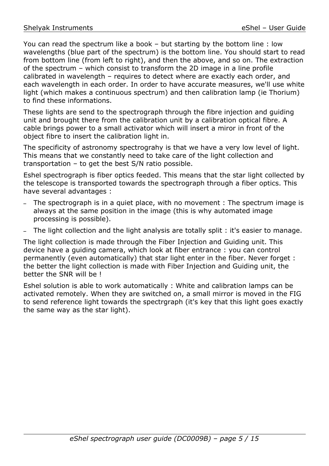You can read the spectrum like a book – but starting by the bottom line : low wavelengths (blue part of the spectrum) is the bottom line. You should start to read from bottom line (from left to right), and then the above, and so on. The extraction of the spectrum – which consist to transform the 2D image in a line profile calibrated in wavelength – requires to detect where are exactly each order, and each wavelength in each order. In order to have accurate measures, we'll use white light (which makes a continuous spectrum) and then calibration lamp (ie Thorium) to find these informations.

These lights are send to the spectrograph through the fibre injection and guiding unit and brought there from the calibration unit by a calibration optical fibre. A cable brings power to a small activator which will insert a miror in front of the object fibre to insert the calibration light in.

The specificity of astronomy spectrograhy is that we have a very low level of light. This means that we constantly need to take care of the light collection and transportation – to get the best S/N ratio possible.

Eshel spectrograph is fiber optics feeded. This means that the star light collected by the telescope is transported towards the spectrograph through a fiber optics. This have several advantages :

- The spectrograph is in a quiet place, with no movement : The spectrum image is always at the same position in the image (this is why automated image processing is possible).
- The light collection and the light analysis are totally split : it's easier to manage.

The light collection is made through the Fiber Injection and Guiding unit. This device have a guiding camera, which look at fiber entrance : you can control permanently (even automatically) that star light enter in the fiber. Never forget : the better the light collection is made with Fiber Injection and Guiding unit, the better the SNR will be !

Eshel solution is able to work automatically : White and calibration lamps can be activated remotely. When they are switched on, a small mirror is moved in the FIG to send reference light towards the spectrgraph (it's key that this light goes exactly the same way as the star light).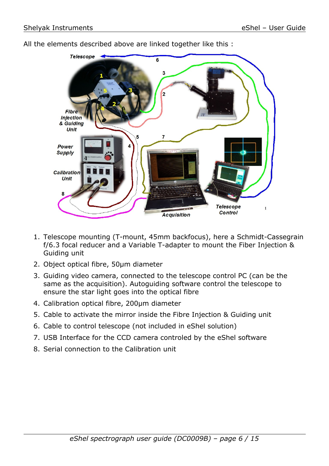

All the elements described above are linked together like this :

- 1. Telescope mounting (T-mount, 45mm backfocus), here a Schmidt-Cassegrain f/6.3 focal reducer and a Variable T-adapter to mount the Fiber Injection & Guiding unit
- 2. Object optical fibre, 50µm diameter
- 3. Guiding video camera, connected to the telescope control PC (can be the same as the acquisition). Autoguiding software control the telescope to ensure the star light goes into the optical fibre
- 4. Calibration optical fibre, 200µm diameter
- 5. Cable to activate the mirror inside the Fibre Injection & Guiding unit
- 6. Cable to control telescope (not included in eShel solution)
- 7. USB Interface for the CCD camera controled by the eShel software
- 8. Serial connection to the Calibration unit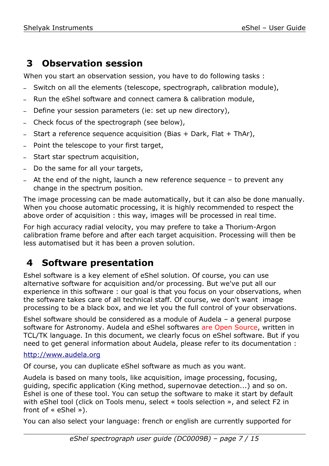# **3 Observation session**

When you start an observation session, you have to do following tasks :

- Switch on all the elements (telescope, spectrograph, calibration module),
- Run the eShel software and connect camera & calibration module,
- Define your session parameters (ie: set up new directory),
- Check focus of the spectrograph (see below),
- Start a reference sequence acquisition (Bias  $+$  Dark, Flat  $+$  ThAr),
- Point the telescope to your first target,
- Start star spectrum acquisition,
- Do the same for all your targets,
- $-$  At the end of the night, launch a new reference sequence  $-$  to prevent any change in the spectrum position.

The image processing can be made automatically, but it can also be done manually. When you choose automatic processing, it is highly recommended to respect the above order of acquisition : this way, images will be processed in real time.

For high accuracy radial velocity, you may prefere to take a Thorium-Argon calibration frame before and after each target acquisition. Processing will then be less automatised but it has been a proven solution.

# **4 Software presentation**

Eshel software is a key element of eShel solution. Of course, you can use alternative software for acquisition and/or processing. But we've put all our experience in this software : our goal is that you focus on your observations, when the software takes care of all technical staff. Of course, we don't want image processing to be a black box, and we let you the full control of your observations.

Eshel software should be considered as a module of Audela – a general purpose software for Astronomy. Audela and eShel softwares are Open Source, written in TCL/TK language. In this document, we clearly focus on eShel software. But if you need to get general information about Audela, please refer to its documentation :

#### [http://www.audela.org](http://www.audela.org/)

Of course, you can duplicate eShel software as much as you want.

Audela is based on many tools, like acquisition, image processing, focusing, guiding, specific application (King method, supernovae detection...) and so on. Eshel is one of these tool. You can setup the software to make it start by default with eShel tool (click on Tools menu, select « tools selection », and select F2 in front of « eShel »).

You can also select your language: french or english are currently supported for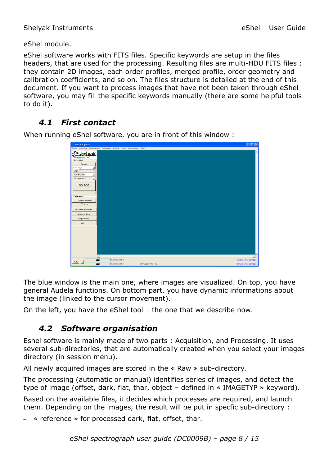eShel module.

eShel software works with FITS files. Specific keywords are setup in the files headers, that are used for the processing. Resulting files are multi-HDU FITS files : they contain 2D images, each order profiles, merged profile, order geometry and calibration coefficients, and so on. The files structure is detailed at the end of this document. If you want to process images that have not been taken through eShel software, you may fill the specific keywords manually (there are some helpful tools to do it).

## *4.1 First contact*

When running eShel software, you are in front of this window :

| 74 Aud'ACE (visu1)                               |                                                                              |                      | $L$ dk                  |
|--------------------------------------------------|------------------------------------------------------------------------------|----------------------|-------------------------|
|                                                  | Fichier Affichage Prétraitement Traitement Analyse Outils Configuration Aide |                      |                         |
| 55helyak                                         |                                                                              |                      |                         |
| Acquisition                                      |                                                                              |                      |                         |
| Session<br>Une Image<br>$\overline{\phantom{a}}$ |                                                                              |                      |                         |
| $\overline{\mathbf v}$<br>Objet                  |                                                                              |                      |                         |
| ⊡<br>Tps de pose $\sqrt{2}$                      |                                                                              |                      |                         |
| Nb de poses 5<br>$\overline{\mathbf{v}}$         |                                                                              |                      |                         |
| <b>GO ACQ</b>                                    |                                                                              |                      |                         |
|                                                  |                                                                              |                      |                         |
| Traitements                                      |                                                                              |                      |                         |
| Traiter les spectres                             |                                                                              |                      |                         |
| $\Gamma$ auto                                    |                                                                              |                      |                         |
| Parametres instrument                            |                                                                              |                      |                         |
| Profils spectraux                                |                                                                              |                      |                         |
| Images brutes                                    |                                                                              |                      |                         |
| $\mathsf{A}\mathsf{id}\mathsf{e}\dots$           |                                                                              |                      |                         |
|                                                  |                                                                              |                      |                         |
|                                                  |                                                                              |                      |                         |
|                                                  |                                                                              |                      |                         |
|                                                  |                                                                              |                      |                         |
|                                                  |                                                                              |                      |                         |
|                                                  |                                                                              |                      |                         |
|                                                  |                                                                              |                      |                         |
|                                                  |                                                                              |                      |                         |
| Auto                                             | $1.0000e+000X = -$                                                           | $1 - 1$              | Caméra : Non connectée  |
|                                                  | $1.0000e+000$ Y = -                                                          | 01/10/08 20:47:30 TU | Monture : Non connectée |

The blue window is the main one, where images are visualized. On top, you have general Audela functions. On bottom part, you have dynamic informations about the image (linked to the cursor movement).

On the left, you have the eShel tool – the one that we describe now.

### *4.2 Software organisation*

Eshel software is mainly made of two parts : Acquisition, and Processing. It uses several sub-directories, that are automatically created when you select your images directory (in session menu).

All newly acquired images are stored in the « Raw » sub-directory.

The processing (automatic or manual) identifies series of images, and detect the type of image (offset, dark, flat, thar, object – defined in « IMAGETYP » keyword).

Based on the available files, it decides which processes are required, and launch them. Depending on the images, the result will be put in specfic sub-directory :

 $*$  reference  $*$  for processed dark, flat, offset, thar.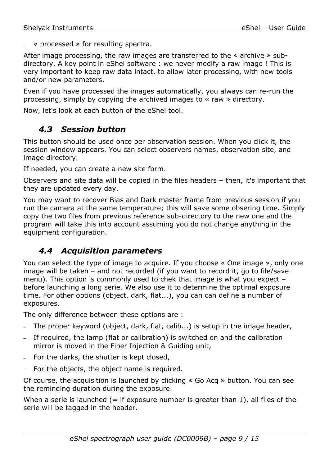$*$  processed  $*$  for resulting spectra.

After image processing, the raw images are transferred to the « archive » subdirectory. A key point in eShel software : we never modify a raw image ! This is very important to keep raw data intact, to allow later processing, with new tools and/or new parameters.

Even if you have processed the images automatically, you always can re-run the processing, simply by copying the archived images to « raw » directory.

Now, let's look at each button of the eShel tool.

### *4.3 Session button*

This button should be used once per observation session. When you click it, the session window appears. You can select observers names, observation site, and image directory.

If needed, you can create a new site form.

Observers and site data will be copied in the files headers – then, it's important that they are updated every day.

You may want to recover Bias and Dark master frame from previous session if you run the camera at the same temperature; this will save some obsering time. Simply copy the two files from previous reference sub-directory to the new one and the program will take this into account assuming you do not change anything in the equipment configuration.

## *4.4 Acquisition parameters*

You can select the type of image to acquire. If you choose « One image », only one image will be taken – and not recorded (if you want to record it, go to file/save menu). This option is commonly used to chek that image is what you expect – before launching a long serie. We also use it to determine the optimal exposure time. For other options (object, dark, flat...), you can can define a number of exposures.

The only difference between these options are :

- The proper keyword (object, dark, flat, calib...) is setup in the image header,
- If required, the lamp (flat or calibration) is switched on and the calibration mirror is moved in the Fiber Injection & Guiding unit,
- For the darks, the shutter is kept closed,
- For the objects, the object name is required.

Of course, the acquisition is launched by clicking « Go Acq » button. You can see the reminding duration during the exposure.

When a serie is launched  $(=$  if exposure number is greater than 1), all files of the serie will be tagged in the header.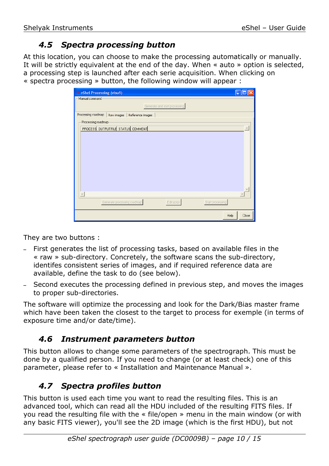## *4.5 Spectra processing button*

At this location, you can choose to make the processing automatically or manually. It will be strictly equivalent at the end of the day. When « auto » option is selected, a processing step is launched after each serie acquisition. When clicking on « spectra processing » button, the following window will appear :

| 7% eShel Processing (visu1)                                    |       |
|----------------------------------------------------------------|-------|
| Manual command-                                                |       |
| Generate and start processing                                  |       |
| Processing roadmap<br>Raw images   Reference images            |       |
| Processing roadmap-                                            |       |
| PROCESS OUTPUTFILE STATUS COMMENT                              |       |
| $\left($                                                       |       |
|                                                                |       |
| Generate processing roadmap<br>Edit script<br>Start processing |       |
| Help                                                           | Close |

They are two buttons :

- First generates the list of processing tasks, based on available files in the « raw » sub-directory. Concretely, the software scans the sub-directory, identifes consistent series of images, and if required reference data are available, define the task to do (see below).
- Second executes the processing defined in previous step, and moves the images to proper sub-directories.

The software will optimize the processing and look for the Dark/Bias master frame which have been taken the closest to the target to process for exemple (in terms of exposure time and/or date/time).

### *4.6 Instrument parameters button*

This button allows to change some parameters of the spectrograph. This must be done by a qualified person. If you need to change (or at least check) one of this parameter, please refer to « Installation and Maintenance Manual ».

## *4.7 Spectra profiles button*

This button is used each time you want to read the resulting files. This is an advanced tool, which can read all the HDU included of the resulting FITS files. If you read the resulting file with the « file/open » menu in the main window (or with any basic FITS viewer), you'll see the 2D image (which is the first HDU), but not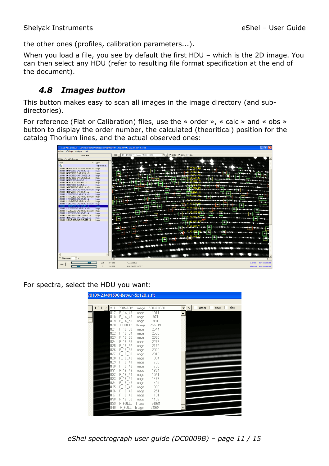the other ones (profiles, calibration parameters...).

When you load a file, you see by default the first HDU – which is the 2D image. You can then select any HDU (refer to resulting file format specification at the end of the document).

### *4.8 Images button*

This button makes easy to scan all images in the image directory (and subdirectories).

For reference (Flat or Calibration) files, use the « order », « calc » and « obs » button to display the order number, the calculated (theoritical) position for the catalog Thorium lines, and the actual observed ones:



For spectra, select the HDU you want:

| <b>HDU</b><br> # 1 | <b>PRIMARY</b> |        | Image 1530 X 1020 | ∣▼ | $\rightarrow$ | order $\Box$ calc $\Box$ | obs |
|--------------------|----------------|--------|-------------------|----|---------------|--------------------------|-----|
| #17                | P 1A 48        | Image  | 1011              |    |               |                          |     |
| #18                | P 1A 49        | Image  | 971               |    |               |                          |     |
| #19                | P 1A 50        | Image  | 931               |    |               |                          |     |
| #20                | ORDERS         | Binary | 25×19             |    |               |                          |     |
| #21                | P_1B_33        | Image  | 2644              |    |               |                          |     |
| #22                | P_1B_34        | Image  | 2536              |    |               |                          |     |
| #23                | P 1B 35        | Image  | 2395              |    |               |                          |     |
| #24                | P_1B_36        | Image  | 2279              |    |               |                          |     |
| #25                | P 1B 37        | Image  | 2172              |    |               |                          |     |
| #26                | P 1B 38        | Image  | 2020              |    |               |                          |     |
| #27                | P_1B_39        | Image  | 2018              |    |               |                          |     |
| #28                | P_1B_40        | Image  | 1884              |    |               |                          |     |
| #29                | P 1B 41        | Image  | 1790              |    |               |                          |     |
| #30                | P 1B 42        | Image  | 1705              |    |               |                          |     |
| #31                | P 1B 43        | Image  | 1624              |    |               |                          |     |
| #32                | P_1B_44        | Image  | 1541              |    |               |                          |     |
| #33                | P_1B_45        | Image  | 1473              |    |               |                          |     |
| #34                | P 1B 46        | Image  | 1404              |    |               |                          |     |
| #35                | P 1B 47        | Image  | 1333              |    |               |                          |     |
| #36                | P 1B 48        | Image  | 1251              |    |               |                          |     |
| #37                | P 1B 49        | Image  | 1181              |    |               |                          |     |
| #38                | P_1B_50        | Image  | 1109              |    |               |                          |     |
| #39                | P FULLO        | Image  | 24984             |    |               |                          |     |
| #40                | P FULL         | Image  | 24984             |    |               |                          |     |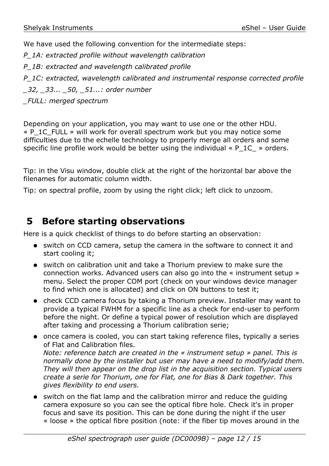We have used the following convention for the intermediate steps:

*P\_1A: extracted profile without wavelength calibration*

*P\_1B: extracted and wavelength calibrated profile*

*P\_1C: extracted, wavelength calibrated and instrumental response corrected profile \_32, \_33... \_50, \_51...: order number*

*\_FULL: merged spectrum*

Depending on your application, you may want to use one or the other HDU. « P\_1C\_FULL » will work for overall spectrum work but you may notice some difficulties due to the echelle technology to properly merge all orders and some specific line profile work would be better using the individual  $\ll P$  1C  $\gg$  orders.

Tip: in the Visu window, double click at the right of the horizontal bar above the filenames for automatic column width.

Tip: on spectral profile, zoom by using the right click; left click to unzoom.

# **5 Before starting observations**

Here is a quick checklist of things to do before starting an observation:

- switch on CCD camera, setup the camera in the software to connect it and start cooling it;
- switch on calibration unit and take a Thorium preview to make sure the connection works. Advanced users can also go into the « instrument setup » menu. Select the proper COM port (check on your windows device manager to find which one is allocated) and click on ON buttons to test it;
- check CCD camera focus by taking a Thorium preview. Installer may want to provide a typical FWHM for a specific line as a check for end-user to perform before the night. Or define a typical power of resolution which are displayed after taking and processing a Thorium calibration serie;
- once camera is cooled, you can start taking reference files, typically a series of Flat and Calibration files. *Note: reference batch are created in the « instrument setup » panel. This is normally done by the installer but user may have a need to modify/add them. They will then appear on the drop list in the acquisition section. Typical users create a serie for Thorium, one for Flat, one for Bias & Dark together. This gives flexibility to end users.*
- switch on the flat lamp and the calibration mirror and reduce the guiding camera exposure so you can see the optical fibre hole. Check it's in proper focus and save its position. This can be done during the night if the user « loose » the optical fibre position (note: if the fiber tip moves around in the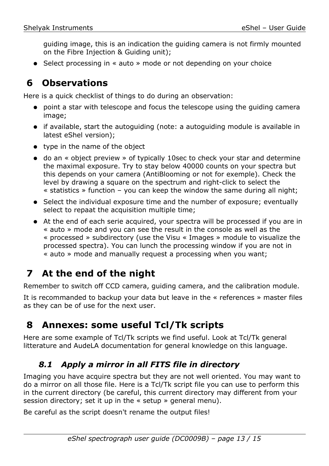guiding image, this is an indication the guiding camera is not firmly mounted on the Fibre Injection & Guiding unit);

● Select processing in « auto » mode or not depending on your choice

## **6 Observations**

Here is a quick checklist of things to do during an observation:

- point a star with telescope and focus the telescope using the guiding camera image;
- if available, start the autoguiding (note: a autoguiding module is available in latest eShel version);
- type in the name of the object
- do an « object preview » of typically 10sec to check your star and determine the maximal exposure. Try to stay below 40000 counts on your spectra but this depends on your camera (AntiBlooming or not for exemple). Check the level by drawing a square on the spectrum and right-click to select the « statistics » function – you can keep the window the same during all night;
- Select the individual exposure time and the number of exposure; eventually select to repaat the acquisition multiple time;
- At the end of each serie acquired, your spectra will be processed if you are in « auto » mode and you can see the result in the console as well as the « processed » subdirectory (use the Visu « Images » module to visualize the processed spectra). You can lunch the processing window if you are not in « auto » mode and manually request a processing when you want;

# **7 At the end of the night**

Remember to switch off CCD camera, guiding camera, and the calibration module.

It is recommanded to backup your data but leave in the « references » master files as they can be of use for the next user.

## **8 Annexes: some useful Tcl/Tk scripts**

Here are some example of Tcl/Tk scripts we find useful. Look at Tcl/Tk general litterature and AudeLA documentation for general knowledge on this language.

## *8.1 Apply a mirror in all FITS file in directory*

Imaging you have acquire spectra but they are not well oriented. You may want to do a mirror on all those file. Here is a Tcl/Tk script file you can use to perform this in the current directory (be careful, this current directory may different from your session directory; set it up in the « setup » general menu).

Be careful as the script doesn't rename the output files!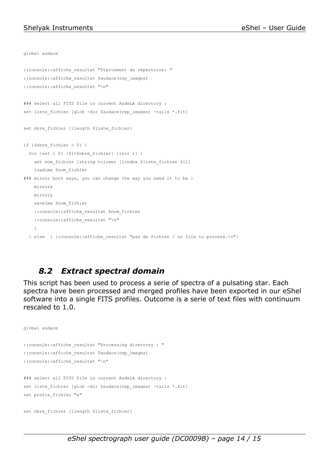```
global audace
::console::affiche_resultat "Traitement du répertoire: "
::console::affiche_resultat $audace(rep_images)
::console::affiche_resultat "\n"
### select all FITS file in current AudeLA directory :
set liste fichier [glob -dir $audace(rep_images) -tails *.fit]
set nbre fichier [llength $liste fichier]
if {$nbre_fichier > 0} {
   for {set i 0} {$i<$nbre_fichier} {incr i} {
    set nom fichier [string tolower [lindex $liste fichier $i]]
     loadima $nom_fichier
### mirror both ways, you can change the way you need it to be :
     mirrorx
    mirrory
     saveima $nom_fichier
     ::console::affiche_resultat $nom_fichier
    ::console::affiche resultat "\n"
     }
   } else { ::console::affiche_resultat "pas de fichier / no file to process.\n"}
```
## *8.2 Extract spectral domain*

This script has been used to process a serie of spectra of a pulsating star. Each spectra have been processed and merged profiles have been exported in our eShel software into a single FITS profiles. Outcome is a serie of text files with continuum rescaled to 1.0.

```
global audace
::console::affiche_resultat "Processing directory : "
::console::affiche_resultat $audace(rep_images)
::console::affiche_resultat "\n"
### select all FITS file in current AudeLA directory :
set liste fichier [qlob -dir $audace(rep_images) -tails *.fit]
set prefix_fichier "x"
set nbre fichier [llength $liste fichier]
```